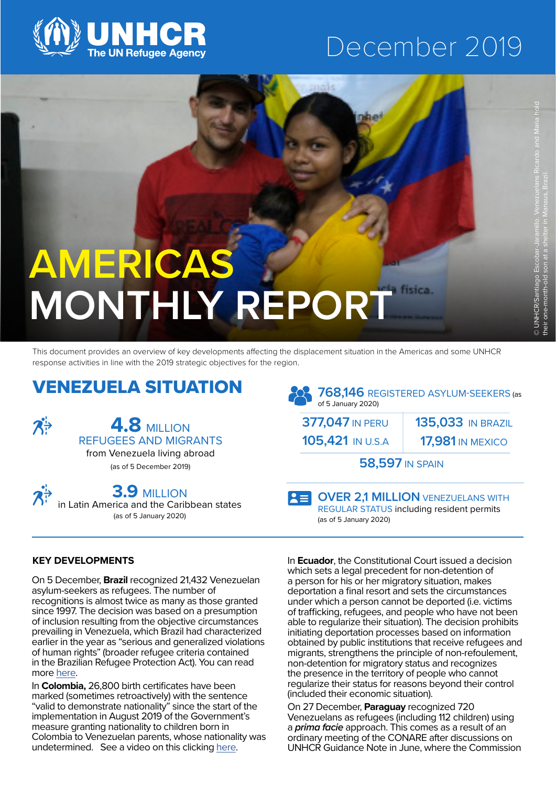

## December 2019

## **AMERICAS MONTHLY REPORT**

This document provides an overview of key developments affecting the displacement situation in the Americas and some UNHCR response activities in line with the 2019 strategic objectives for the region.

## VENEZUELA SITUATION



**4.8** MILLION REFUGEES AND MIGRANTS

from Venezuela living abroad (as of 5 December 2019)

**3.9** MILLION in Latin America and the Caribbean states (as of 5 January 2020)

**768,146** REGISTERED ASYLUM-SEEKERS (as of 5 January 2020) **377,047** IN PERU **58,597** IN SPAIN **17,981** IN MEXICO **135,033** IN BRAZIL **105,421** IN U.S.A

**OVER 2,1 MILLION** VENEZUELANS WITH  $|z=|$ REGULAR STATUS including resident permits (as of 5 January 2020)

#### **KEY DEVELOPMENTS**

On 5 December, **Brazil** recognized 21,432 Venezuelan asylum-seekers as refugees. The number of recognitions is almost twice as many as those granted since 1997. The decision was based on a presumption of inclusion resulting from the objective circumstances prevailing in Venezuela, which Brazil had characterized earlier in the year as "serious and generalized violations of human rights" (broader refugee criteria contained in the Brazilian Refugee Protection Act). You can read more [here.](https://www.unhcr.org/news/briefing/2019/12/5dea19f34/unhcr-welcomes-brazils-decision-recognize-thousands-venezuelans-refugees.html)

In **Colombia,** 26,800 birth certificates have been marked (sometimes retroactively) with the sentence "valid to demonstrate nationality" since the start of the implementation in August 2019 of the Government's measure granting nationality to children born in Colombia to Venezuelan parents, whose nationality was undetermined. See a video on this clicking [here](https://www.unhcr.org/news/videos/2020/1/5e18826d4/preventing-statelessness-in-colombia.html).

In **Ecuador**, the Constitutional Court issued a decision which sets a legal precedent for non-detention of a person for his or her migratory situation, makes deportation a final resort and sets the circumstances under which a person cannot be deported (i.e. victims of trafficking, refugees, and people who have not been able to regularize their situation). The decision prohibits initiating deportation processes based on information obtained by public institutions that receive refugees and migrants, strengthens the principle of non-refoulement, non-detention for migratory status and recognizes the presence in the territory of people who cannot regularize their status for reasons beyond their control (included their economic situation).

On 27 December, **Paraguay** recognized 720 Venezuelans as refugees (including 112 children) using a *prima facie* approach. This comes as a result of an ordinary meeting of the CONARE after discussions on UNHCR Guidance Note in June, where the Commission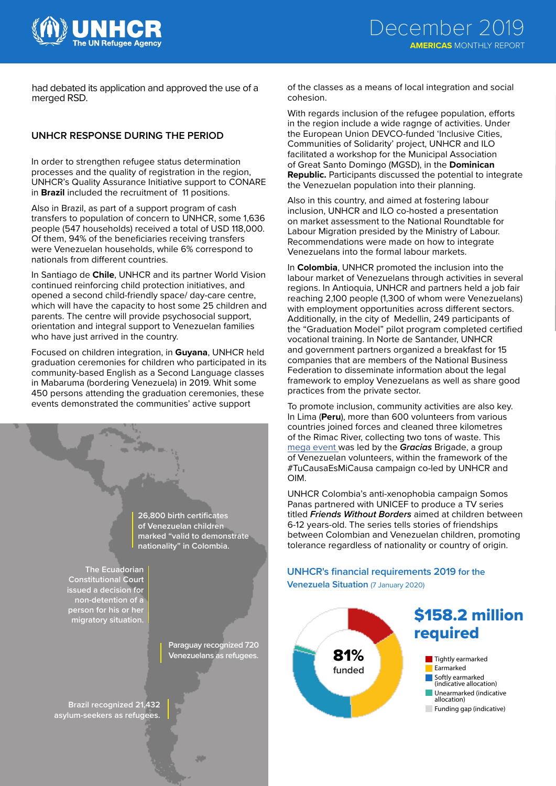

had debated its application and approved the use of a merged RSD.

#### **UNHCR RESPONSE DURING THE PERIOD**

In order to strengthen refugee status determination processes and the quality of registration in the region, UNHCR's Quality Assurance Initiative support to CONARE in **Brazil** included the recruitment of 11 positions.

Also in Brazil, as part of a support program of cash transfers to population of concern to UNHCR, some 1,636 people (547 households) received a total of USD 118,000. Of them, 94% of the beneficiaries receiving transfers were Venezuelan households, while 6% correspond to nationals from different countries.

In Santiago de **Chile**, UNHCR and its partner World Vision continued reinforcing child protection initiatives, and opened a second child-friendly space/ day-care centre, which will have the capacity to host some 25 children and parents. The centre will provide psychosocial support, orientation and integral support to Venezuelan families who have just arrived in the country.

Focused on children integration, in **Guyana**, UNHCR held graduation ceremonies for children who participated in its community-based English as a Second Language classes in Mabaruma (bordering Venezuela) in 2019. Whit some 450 persons attending the graduation ceremonies, these events demonstrated the communities' active support



of the classes as a means of local integration and social cohesion.

With regards inclusion of the refugee population, efforts in the region include a wide ragnge of activities. Under the European Union DEVCO-funded 'Inclusive Cities, Communities of Solidarity' project, UNHCR and ILO facilitated a workshop for the Municipal Association of Great Santo Domingo (MGSD), in the **Dominican Republic.** Participants discussed the potential to integrate the Venezuelan population into their planning.

Also in this country, and aimed at fostering labour inclusion, UNHCR and ILO co-hosted a presentation on market assessment to the National Roundtable for Labour Migration presided by the Ministry of Labour. Recommendations were made on how to integrate Venezuelans into the formal labour markets.

In **Colombia**, UNHCR promoted the inclusion into the labour market of Venezuelans through activities in several regions. In Antioquia, UNHCR and partners held a job fair reaching 2,100 people (1,300 of whom were Venezuelans) with employment opportunities across different sectors. Additionally, in the city of Medellin, 249 participants of the "Graduation Model" pilot program completed certified vocational training. In Norte de Santander, UNHCR and government partners organized a breakfast for 15 companies that are members of the National Business Federation to disseminate information about the legal framework to employ Venezuelans as well as share good practices from the private sector.

To promote inclusion, community activities are also key. In Lima (**Peru**), more than 600 volunteers from various countries joined forces and cleaned three kilometres of the Rimac River, collecting two tons of waste. This [mega event](https://www.youtube.com/watch?v=UvH5lyeFZ4A) was led by the *Gracias* Brigade, a group of Venezuelan volunteers, within the framework of the #TuCausaEsMiCausa campaign co-led by UNHCR and OIM.

UNHCR Colombia's anti-xenophobia campaign Somos Panas partnered with UNICEF to produce a TV series titled *Friends Without Borders* aimed at children between 6-12 years-old. The series tells stories of friendships between Colombian and Venezuelan children, promoting tolerance regardless of nationality or country of origin.

#### **UNHCR's financial requirements 2019 for the Venezuela Situation** (7 January 2020)

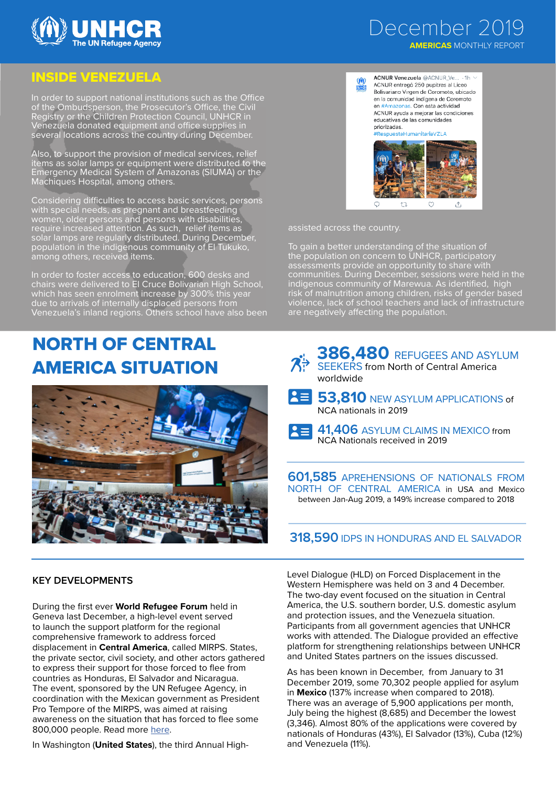

### December 2019  **AMERICAS** MONTHLY REPORT

### INSIDE VENEZUELA

In order to support national institutions such as the Office of the Ombudsperson, the Prosecutor's Office, the Civil Registry or the Children Protection Council, UNHCR in Venezuela donated equipment and office supplies in several locations across the country during December.

Also, to support the provision of medical services, relief items as solar lamps or equipment were distributed to the Emergency Medical System of Amazonas (SIUMA) or the Machiques Hospital, among others.

Considering difficulties to access basic services, persons with special needs, as pregnant and breastfeeding women, older persons and persons with disabilities, require increased attention. As such, relief items as solar lamps are regularly distributed. During December, population in the indigenous community of El Tukuko, among others, received items.

In order to foster access to education, 600 desks and chairs were delivered to El Cruce Bolivarian High School, which has seen enrolment increase by 300% this year due to arrivals of internally displaced persons from Venezuela's inland regions. Others school have also been

# NORTH OF CENTRAL



|         | ACNUR Venezuela @ACNUR Ve 1h \          |
|---------|-----------------------------------------|
| )<br>An | ACNUR entregó 250 pupitres al Liceo     |
|         | Bolivariano Virgen de Coromoto, ubicado |
|         | en la comunidad indígena de Coromoto    |
|         | en #Amazonas. Con esta actividad        |
|         | ACNUR ayuda a mejorar las condiciones   |
|         | educativas de las comunidades           |
|         | priorizadas                             |



assisted across the country.

To gain a better understanding of the situation of the population on concern to UNHCR, participatory assessments provide an opportunity to share with communities. During December, sessions were held in the indigenous community of Marewua. As identified, high risk of malnutrition among children, risks of gender based violence, lack of school teachers and lack of infrastructure are negatively affecting the population.



During the first ever **World Refugee Forum** held in Geneva last December, a high-level event served to launch the support platform for the regional comprehensive framework to address forced displacement in **Central America**, called MIRPS. States, the private sector, civil society, and other actors gathered to express their support for those forced to flee from countries as Honduras, El Salvador and Nicaragua. The event, sponsored by the UN Refugee Agency, in coordination with the Mexican government as President Pro Tempore of the MIRPS, was aimed at raising awareness on the situation that has forced to flee some 800,000 people. Read more [here.](https://www.acnur.org/noticias/press/2019/12/5df7f3da4/estados-sector-privado-sociedad-civil-se-unen-en-apoyo-para-centroamerica.html )

In Washington (**United States**), the third Annual High-

**KEY DEVELOPMENTS KEY DEVELOPMENTS Level Dialogue (HLD)** on Forced Displacement in the Western Hemisphere was held on 3 and 4 December. The two-day event focused on the situation in Central America, the U.S. southern border, U.S. domestic asylum and protection issues, and the Venezuela situation. Participants from all government agencies that UNHCR works with attended. The Dialogue provided an effective platform for strengthening relationships between UNHCR and United States partners on the issues discussed.

> As has been known in December, from January to 31 December 2019, some 70,302 people applied for asylum in **Mexico** (137% increase when compared to 2018). There was an average of 5,900 applications per month, July being the highest (8,685) and December the lowest (3,346). Almost 80% of the applications were covered by nationals of Honduras (43%), El Salvador (13%), Cuba (12%) and Venezuela (11%).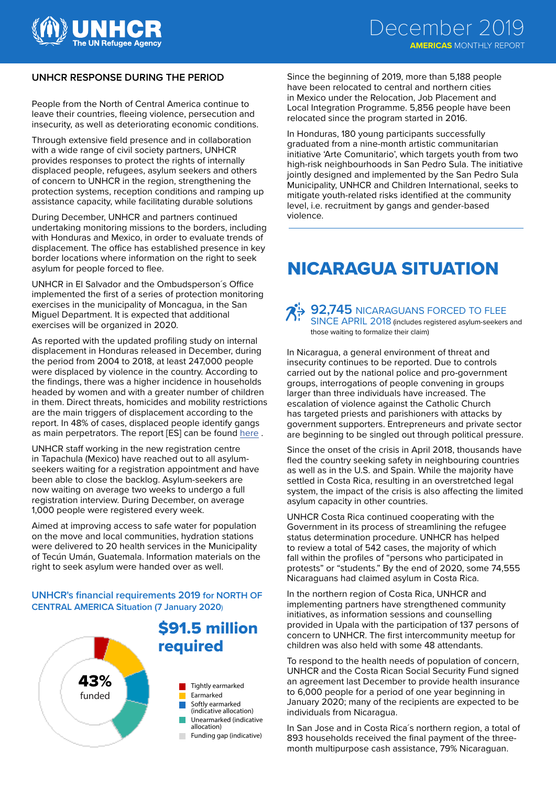

#### **UNHCR RESPONSE DURING THE PERIOD**

People from the North of Central America continue to leave their countries, fleeing violence, persecution and insecurity, as well as deteriorating economic conditions.

Through extensive field presence and in collaboration with a wide range of civil society partners, UNHCR provides responses to protect the rights of internally displaced people, refugees, asylum seekers and others of concern to UNHCR in the region, strengthening the protection systems, reception conditions and ramping up assistance capacity, while facilitating durable solutions

During December, UNHCR and partners continued undertaking monitoring missions to the borders, including with Honduras and Mexico, in order to evaluate trends of displacement. The office has established presence in key border locations where information on the right to seek asylum for people forced to flee.

UNHCR in El Salvador and the Ombudsperson´s Office implemented the first of a series of protection monitoring exercises in the municipality of Moncagua, in the San Miguel Department. It is expected that additional exercises will be organized in 2020.

As reported with the updated profiling study on internal displacement in Honduras released in December, during the period from 2004 to 2018, at least 247,000 people were displaced by violence in the country. According to the findings, there was a higher incidence in households headed by women and with a greater number of children in them. Direct threats, homicides and mobility restrictions are the main triggers of displacement according to the report. In 48% of cases, displaced people identify gangs as main perpetrators. The report [ES] can be found [here](https://data2.unhcr.org/en/documents/details/72922) .

UNHCR staff working in the new registration centre in Tapachula (Mexico) have reached out to all asylumseekers waiting for a registration appointment and have been able to close the backlog. Asylum-seekers are now waiting on average two weeks to undergo a full registration interview. During December, on average 1,000 people were registered every week.

Aimed at improving access to safe water for population on the move and local communities, hydration stations were delivered to 20 health services in the Municipality of Tecún Umán, Guatemala. Information materials on the right to seek asylum were handed over as well.

#### **UNHCR's financial requirements 2019 for NORTH OF CENTRAL AMERICA Situation (7 January 2020**)



Since the beginning of 2019, more than 5,188 people have been relocated to central and northern cities in Mexico under the Relocation, Job Placement and Local Integration Programme. 5,856 people have been relocated since the program started in 2016.

In Honduras, 180 young participants successfully graduated from a nine-month artistic communitarian initiative 'Arte Comunitario', which targets youth from two high-risk neighbourhoods in San Pedro Sula. The initiative jointly designed and implemented by the San Pedro Sula Municipality, UNHCR and Children International, seeks to mitigate youth-related risks identified at the community level, i.e. recruitment by gangs and gender-based violence.

## NICARAGUA SITUATION

**92,745** NICARAGUANS FORCED TO FLEE SINCE APRIL 2018 (includes registered asylum-seekers and those waiting to formalize their claim)

In Nicaragua, a general environment of threat and insecurity continues to be reported. Due to controls carried out by the national police and pro-government groups, interrogations of people convening in groups larger than three individuals have increased. The escalation of violence against the Catholic Church has targeted priests and parishioners with attacks by government supporters. Entrepreneurs and private sector are beginning to be singled out through political pressure.

Since the onset of the crisis in April 2018, thousands have fled the country seeking safety in neighbouring countries as well as in the U.S. and Spain. While the majority have settled in Costa Rica, resulting in an overstretched legal system, the impact of the crisis is also affecting the limited asylum capacity in other countries.

UNHCR Costa Rica continued cooperating with the Government in its process of streamlining the refugee status determination procedure. UNHCR has helped to review a total of 542 cases, the majority of which fall within the profiles of "persons who participated in protests" or "students." By the end of 2020, some 74,555 Nicaraguans had claimed asylum in Costa Rica.

In the northern region of Costa Rica, UNHCR and implementing partners have strengthened community initiatives, as information sessions and counselling provided in Upala with the participation of 137 persons of concern to UNHCR. The first intercommunity meetup for children was also held with some 48 attendants.

To respond to the health needs of population of concern, UNHCR and the Costa Rican Social Security Fund signed an agreement last December to provide health insurance to 6,000 people for a period of one year beginning in January 2020; many of the recipients are expected to be individuals from Nicaragua.

In San Jose and in Costa Rica´s northern region, a total of 893 households received the final payment of the threemonth multipurpose cash assistance, 79% Nicaraguan.